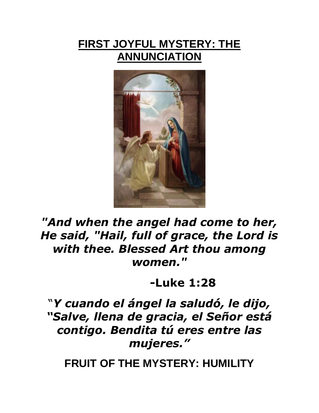## **FIRST JOYFUL MYSTERY: THE ANNUNCIATION**



*"And when the angel had come to her, He said, "Hail, full of grace, the Lord is with thee. Blessed Art thou among women."* 

**-Luke 1:28**

"*Y cuando el ángel la saludó, le dijo, "Salve, llena de gracia, el Señor está contigo. Bendita tú eres entre las mujeres."*

**FRUIT OF THE MYSTERY: HUMILITY**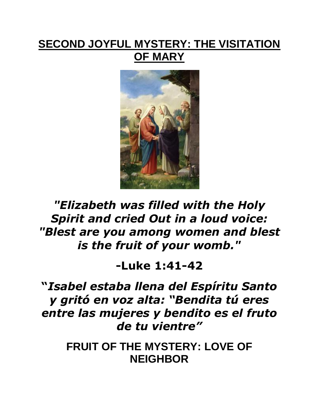## **SECOND JOYFUL MYSTERY: THE VISITATION OF MARY**



## *"Elizabeth was filled with the Holy Spirit and cried Out in a loud voice: "Blest are you among women and blest is the fruit of your womb."*

**-Luke 1:41-42**

**"***Isabel estaba llena del Espíritu Santo y gritó en voz alta: "Bendita tú eres entre las mujeres y bendito es el fruto de tu vientre"* 

> **FRUIT OF THE MYSTERY: LOVE OF NEIGHBOR**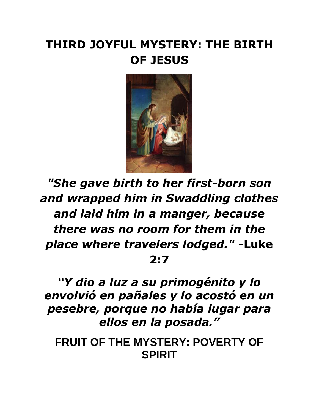## **THIRD JOYFUL MYSTERY: THE BIRTH OF JESUS**



## *"She gave birth to her first-born son and wrapped him in Swaddling clothes and laid him in a manger, because there was no room for them in the place where travelers lodged."* **-Luke 2:7**

*"Y dio a luz a su primogénito y lo envolvió en pañales y lo acostó en un pesebre, porque no había lugar para ellos en la posada."*

**FRUIT OF THE MYSTERY: POVERTY OF SPIRIT**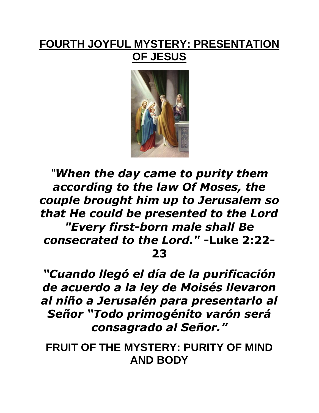## **FOURTH JOYFUL MYSTERY: PRESENTATION OF JESUS**



## *"When the day came to purity them according to the law Of Moses, the couple brought him up to Jerusalem so that He could be presented to the Lord "Every first-born male shall Be consecrated to the Lord."* **-Luke 2:22- 23**

*"Cuando llegó el día de la purificación de acuerdo a la ley de Moisés llevaron al niño a Jerusalén para presentarlo al Señor "Todo primogénito varón será consagrado al Señor."*

**FRUIT OF THE MYSTERY: PURITY OF MIND AND BODY**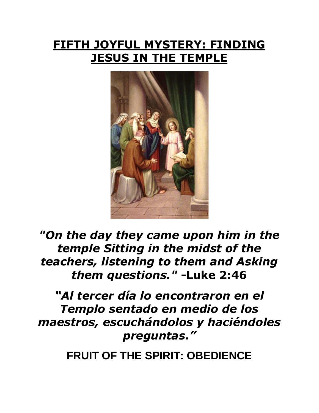## **FIFTH JOYFUL MYSTERY: FINDING JESUS IN THE TEMPLE**



*"On the day they came upon him in the temple Sitting in the midst of the teachers, listening to them and Asking them questions."* **-Luke 2:46**

*"Al tercer día lo encontraron en el Templo sentado en medio de los maestros, escuchándolos y haciéndoles preguntas."*

**FRUIT OF THE SPIRIT: OBEDIENCE**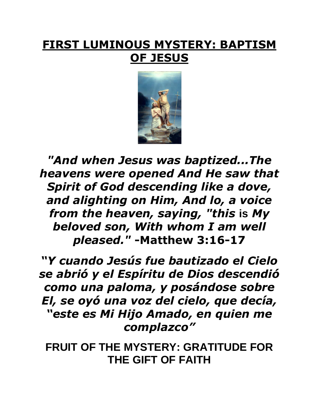## **FIRST LUMINOUS MYSTERY: BAPTISM OF JESUS**



*"And when Jesus was baptized...The heavens were opened And He saw that Spirit of God descending like a dove, and alighting on Him, And lo, a voice from the heaven, saying, "this* **is** *My beloved son, With whom I am well pleased."* **-Matthew 3:16-17**

*"Y cuando Jesús fue bautizado el Cielo se abrió y el Espíritu de Dios descendió como una paloma, y posándose sobre El, se oyó una voz del cielo, que decía, "este es Mi Hijo Amado, en quien me complazco"*

**FRUIT OF THE MYSTERY: GRATITUDE FOR THE GIFT OF FAITH**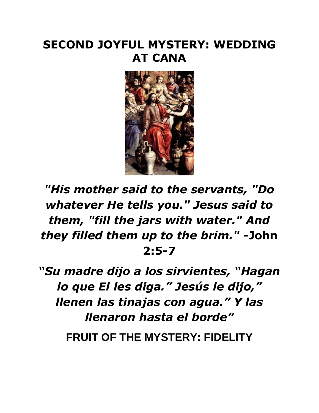## **SECOND JOYFUL MYSTERY: WEDDING AT CANA**



## *"His mother said to the servants, "Do whatever He tells you." Jesus said to them, "fill the jars with water." And they filled them up to the brim."* **-John 2:5-7**

*"Su madre dijo a los sirvientes, "Hagan lo que El les diga." Jesús le dijo," llenen las tinajas con agua." Y las llenaron hasta el borde"*

**FRUIT OF THE MYSTERY: FIDELITY**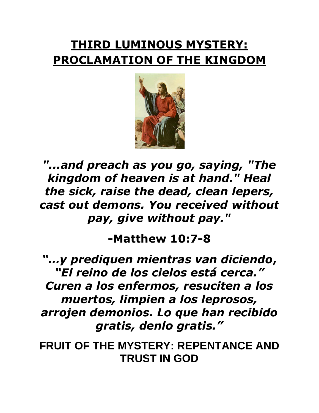## **THIRD LUMINOUS MYSTERY: PROCLAMATION OF THE KINGDOM**



*"...and preach as you go, saying, "The kingdom of heaven is at hand." Heal the sick, raise the dead, clean lepers, cast out demons. You received without pay, give without pay."*

**-Matthew 10:7-8**

*"…y prediquen mientras van diciendo***,**  *"El reino de los cielos está cerca." Curen a los enfermos, resuciten a los muertos, limpien a los leprosos, arrojen demonios. Lo que han recibido gratis, denlo gratis."*

**FRUIT OF THE MYSTERY: REPENTANCE AND TRUST IN GOD**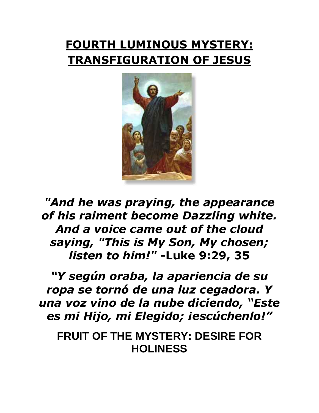## **FOURTH LUMINOUS MYSTERY: TRANSFIGURATION OF JESUS**



*"And he was praying, the appearance of his raiment become Dazzling white. And a voice came out of the cloud saying, "This is My Son, My chosen; listen to him!"* **-Luke 9:29, 35**

*"Y según oraba, la apariencia de su ropa se tornó de una luz cegadora. Y una voz vino de la nube diciendo, "Este es mi Hijo, mi Elegido; ¡escúchenlo!"*

**FRUIT OF THE MYSTERY: DESIRE FOR HOLINESS**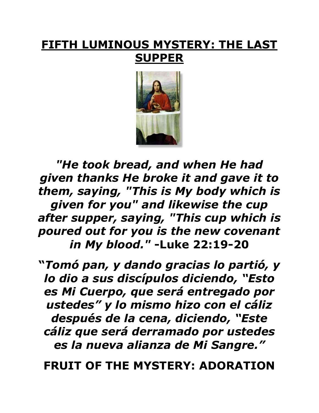## **FIFTH LUMINOUS MYSTERY: THE LAST SUPPER**



*"He took bread, and when He had given thanks He broke it and gave it to them, saying, "This is My body which is given for you" and likewise the cup after supper, saying, "This cup which is poured out for you is the new covenant in My blood."* **-Luke 22:19-20**

**"***Tomó pan, y dando gracias lo partió, y lo dio a sus discípulos diciendo, "Esto es Mi Cuerpo, que será entregado por ustedes" y lo mismo hizo con el cáliz después de la cena, diciendo, "Este cáliz que será derramado por ustedes es la nueva alianza de Mi Sangre."*

**FRUIT OF THE MYSTERY: ADORATION**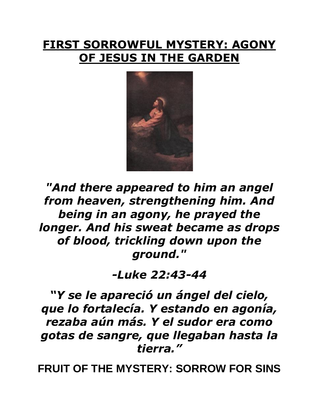## **FIRST SORROWFUL MYSTERY: AGONY OF JESUS IN THE GARDEN**



*"And there appeared to him an angel from heaven, strengthening him. And being in an agony, he prayed the longer. And his sweat became as drops of blood, trickling down upon the ground."* 

*-Luke 22:43-44*

*"Y se le apareció un ángel del cielo, que lo fortalecía. Y estando en agonía, rezaba aún más. Y el sudor era como gotas de sangre, que llegaban hasta la tierra."*

**FRUIT OF THE MYSTERY: SORROW FOR SINS**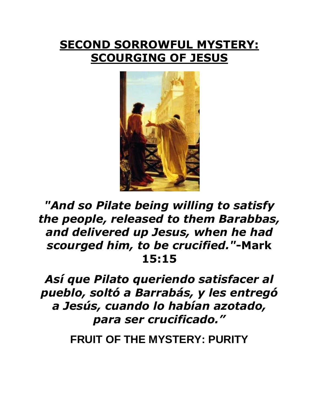## **SECOND SORROWFUL MYSTERY: SCOURGING OF JESUS**



### *"And so Pilate being willing to satisfy the people, released to them Barabbas, and delivered up Jesus, when he had scourged him, to be crucified."***-Mark 15:15**

*Así que Pilato queriendo satisfacer al pueblo, soltó a Barrabás, y les entregó a Jesús, cuando lo habían azotado, para ser crucificado."*

**FRUIT OF THE MYSTERY: PURITY**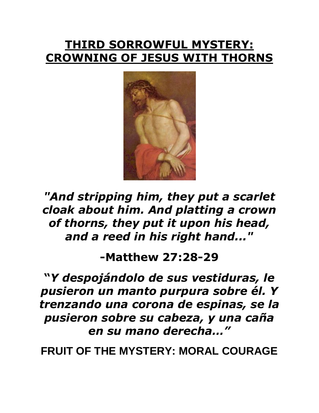## **THIRD SORROWFUL MYSTERY: CROWNING OF JESUS WITH THORNS**



*"And stripping him, they put a scarlet cloak about him. And platting a crown of thorns, they put it upon his head, and a reed in his right hand..."* 

### **-Matthew 27:28-29**

**"***Y despojándolo de sus vestiduras, le pusieron un manto purpura sobre él. Y trenzando una corona de espinas, se la pusieron sobre su cabeza, y una caña en su mano derecha…"*

**FRUIT OF THE MYSTERY: MORAL COURAGE**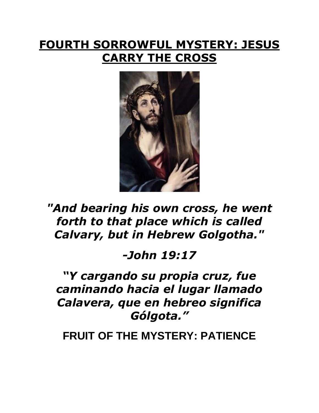## **FOURTH SORROWFUL MYSTERY: JESUS CARRY THE CROSS**



## *"And bearing his own cross, he went forth to that place which is called Calvary, but in Hebrew Golgotha."*

### *-John 19:17*

## *"Y cargando su propia cruz, fue caminando hacia el lugar llamado Calavera, que en hebreo significa Gólgota."*

### **FRUIT OF THE MYSTERY: PATIENCE**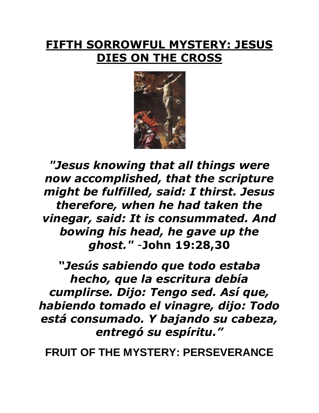## **FIFTH SORROWFUL MYSTERY: JESUS DIES ON THE CROSS**



*"Jesus knowing that all things were now accomplished, that the scripture might be fulfilled, said: I thirst. Jesus therefore, when he had taken the vinegar, said: It is consummated. And bowing his head, he gave up the ghost."* -**John 19:28,30**

*"Jesús sabiendo que todo estaba hecho, que la escritura debía cumplirse. Dijo: Tengo sed. Así que, habiendo tomado el vinagre, dijo: Todo está consumado. Y bajando su cabeza, entregó su espíritu."*

**FRUIT OF THE MYSTERY: PERSEVERANCE**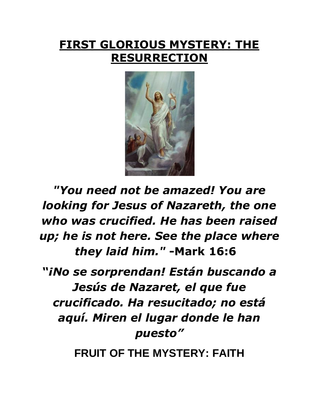## **FIRST GLORIOUS MYSTERY: THE RESURRECTION**



*"You need not be amazed! You are looking for Jesus of Nazareth, the one who was crucified. He has been raised up; he is not here. See the place where they laid him."* **-Mark 16:6** 

*"¡No se sorprendan! Están buscando a Jesús de Nazaret, el que fue crucificado. Ha resucitado; no está aquí. Miren el lugar donde le han puesto"*

**FRUIT OF THE MYSTERY: FAITH**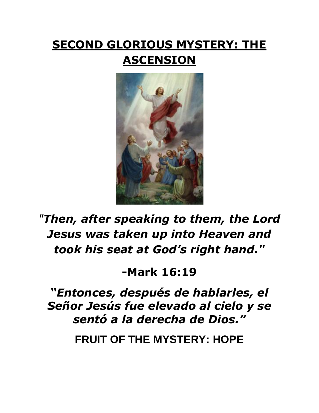## **SECOND GLORIOUS MYSTERY: THE ASCENSION**



*"Then, after speaking to them, the Lord Jesus was taken up into Heaven and took his seat at God's right hand."* 

## **-Mark 16:19**

## *"Entonces, después de hablarles, el Señor Jesús fue elevado al cielo y se sentó a la derecha de Dios."*

**FRUIT OF THE MYSTERY: HOPE**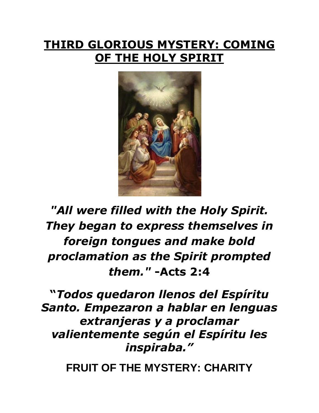## **THIRD GLORIOUS MYSTERY: COMING OF THE HOLY SPIRIT**



*"All were filled with the Holy Spirit. They began to express themselves in foreign tongues and make bold proclamation as the Spirit prompted them."* **-Acts 2:4**

**"***Todos quedaron llenos del Espíritu Santo. Empezaron a hablar en lenguas extranjeras y a proclamar valientemente según el Espíritu les inspiraba."*

**FRUIT OF THE MYSTERY: CHARITY**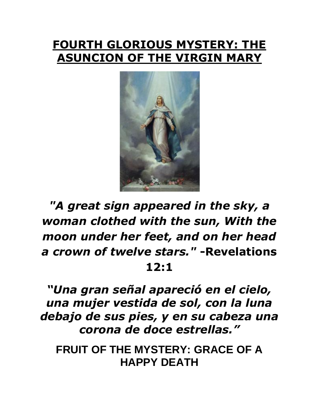## **FOURTH GLORIOUS MYSTERY: THE ASUNCION OF THE VIRGIN MARY**



## *"A great sign appeared in the sky, a woman clothed with the sun, With the moon under her feet, and on her head a crown of twelve stars."* **-Revelations 12:1**

*"Una gran señal apareció en el cielo, una mujer vestida de sol, con la luna debajo de sus pies, y en su cabeza una corona de doce estrellas."*

**FRUIT OF THE MYSTERY: GRACE OF A HAPPY DEATH**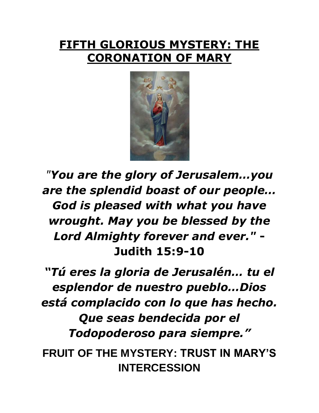## **FIFTH GLORIOUS MYSTERY: THE CORONATION OF MARY**



*"You are the glory of Jerusalem…you are the splendid boast of our people… God is pleased with what you have wrought. May you be blessed by the Lord Almighty forever and ever."* **- Judith 15:9-10**

*"Tú eres la gloria de Jerusalén… tu el esplendor de nuestro pueblo…Dios está complacido con lo que has hecho. Que seas bendecida por el Todopoderoso para siempre."* **FRUIT OF THE MYSTERY: TRUST IN MARY'S INTERCESSION**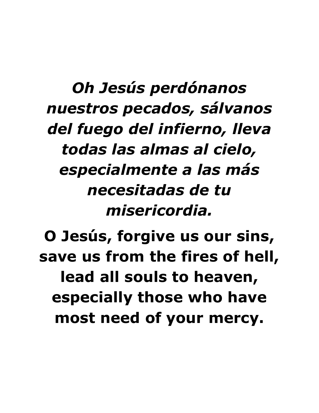# *Oh Jesús perdónanos nuestros pecados, sálvanos del fuego del infierno, lleva todas las almas al cielo, especialmente a las más necesitadas de tu misericordia.*

**O Jesús, forgive us our sins, save us from the fires of hell, lead all souls to heaven, especially those who have most need of your mercy.**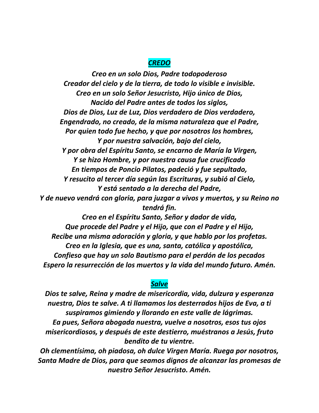#### *CREDO*

*Creo en un solo Dios, Padre todopoderoso Creador del cielo y de la tierra, de todo lo visible e invisible. Creo en un solo Señor Jesucristo, Hijo único de Dios, Nacido del Padre antes de todos los siglos, Dios de Dios, Luz de Luz, Dios verdadero de Dios verdadero, Engendrado, no creado, de la misma naturaleza que el Padre, Por quien todo fue hecho, y que por nosotros los hombres, Y por nuestra salvación, bajo del cielo, Y por obra del Espíritu Santo, se encarno de María la Virgen, Y se hizo Hombre, y por nuestra causa fue crucificado En tiempos de Poncio Pilatos, padeció y fue sepultado, Y resucito al tercer día según las Escrituras, y subió al Cielo, Y está sentado a la derecha del Padre, Y de nuevo vendrá con gloria, para juzgar a vivos y muertos, y su Reino no tendrá fin. Creo en el Espíritu Santo, Señor y dador de vida, Que procede del Padre y el Hijo, que con el Padre y el Hijo, Recibe una misma adoración y gloria, y que hablo por los profetas.*

*Creo en la Iglesia, que es una, santa, católica y apostólica, Confieso que hay un solo Bautismo para el perdón de los pecados Espero la resurrección de los muertos y la vida del mundo futuro. Amén.*

#### *Salve*

*Dios te salve, Reina y madre de misericordia, vida, dulzura y esperanza nuestra, Dios te salve. A ti llamamos los desterrados hijos de Eva, a ti suspiramos gimiendo y llorando en este valle de lágrimas. Ea pues, Señora abogada nuestra, vuelve a nosotros, esos tus ojos misericordiosos, y después de este destierro, muéstranos a Jesús, fruto bendito de tu vientre.*

*Oh clementísima, oh piadosa, oh dulce Virgen María. Ruega por nosotros, Santa Madre de Dios, para que seamos dignos de alcanzar las promesas de nuestro Señor Jesucristo. Amén.*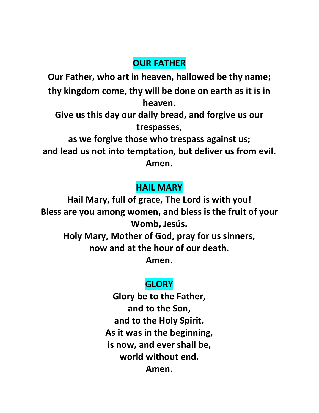### **OUR FATHER**

**Our Father, who art in heaven, hallowed be thy name; thy kingdom come, thy will be done on earth as it is in heaven.**

**Give us this day our daily bread, and forgive us our trespasses,**

**as we forgive those who trespass against us; and lead us not into temptation, but deliver us from evil. Amen.**

### **HAIL MARY**

**Hail Mary, full of grace, The Lord is with you! Bless are you among women, and bless is the fruit of your Womb, Jesús. Holy Mary, Mother of God, pray for us sinners, now and at the hour of our death. Amen.**

### **GLORY**

**Glory be to the Father, and to the Son, and to the Holy Spirit. As it was in the beginning, is now, and ever shall be, world without end. Amen.**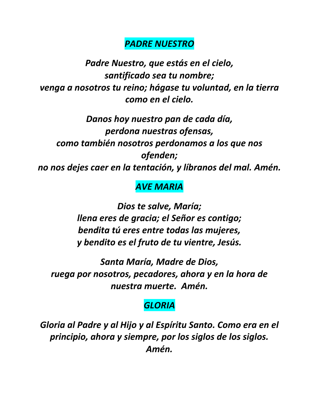### *PADRE NUESTRO*

*Padre Nuestro, que estás en el cielo, santificado sea tu nombre; venga a nosotros tu reino; hágase tu voluntad, en la tierra como en el cielo.*

*Danos hoy nuestro pan de cada día, perdona nuestras ofensas, como también nosotros perdonamos a los que nos ofenden; no nos dejes caer en la tentación, y líbranos del mal. Amén.*

### *AVE MARIA*

*Dios te salve, María; llena eres de gracia; el Señor es contigo; bendita tú eres entre todas las mujeres, y bendito es el fruto de tu vientre, Jesús.*

*Santa María, Madre de Dios, ruega por nosotros, pecadores, ahora y en la hora de nuestra muerte. Amén.*

### *GLORIA*

*Gloria al Padre y al Hijo y al Espíritu Santo. Como era en el principio, ahora y siempre, por los siglos de los siglos. Amén.*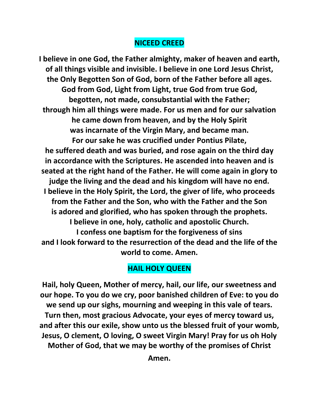#### **NICEED CREED**

**I believe in one God, the Father almighty, maker of heaven and earth, of all things visible and invisible. I believe in one Lord Jesus Christ, the Only Begotten Son of God, born of the Father before all ages. God from God, Light from Light, true God from true God, begotten, not made, consubstantial with the Father; through him all things were made. For us men and for our salvation he came down from heaven, and by the Holy Spirit was incarnate of the Virgin Mary, and became man. For our sake he was crucified under Pontius Pilate, he suffered death and was buried, and rose again on the third day in accordance with the Scriptures. He ascended into heaven and is seated at the right hand of the Father. He will come again in glory to judge the living and the dead and his kingdom will have no end. I believe in the Holy Spirit, the Lord, the giver of life, who proceeds from the Father and the Son, who with the Father and the Son is adored and glorified, who has spoken through the prophets. I believe in one, holy, catholic and apostolic Church. I confess one baptism for the forgiveness of sins and I look forward to the resurrection of the dead and the life of the world to come. Amen.**

### **HAIL HOLY QUEEN**

**Hail, holy Queen, Mother of mercy, hail, our life, our sweetness and our hope. To you do we cry, poor banished [children](http://www.catholic.org/shopping/?category=28) of Eve: to you do we send up our sighs, mourning and weeping in this vale of tears. Turn then, most gracious Advocate, your eyes of mercy toward us, and after this our exile, show unto us the blessed fruit of your womb, Jesus, O clement, O loving, O sweet Virgin Mary! Pray for us oh Holy Mother of God, that we may be worthy of the promises of Christ** 

**Amen.**